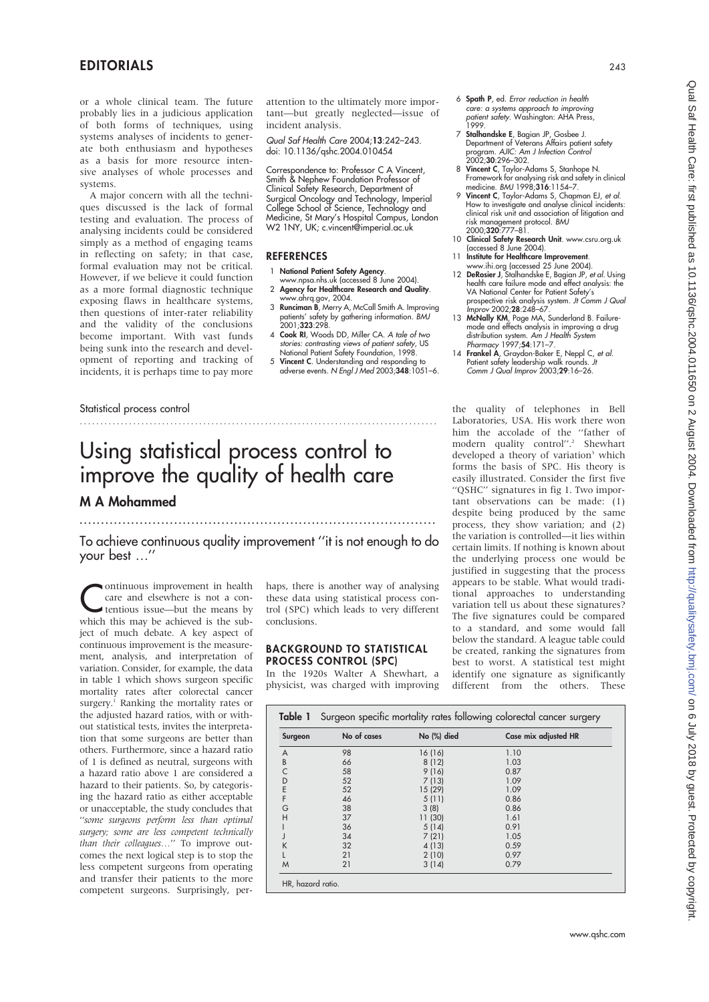## EDITORIALS <sup>243</sup>

or a whole clinical team. The future probably lies in a judicious application of both forms of techniques, using systems analyses of incidents to generate both enthusiasm and hypotheses as a basis for more resource intensive analyses of whole processes and systems.

A major concern with all the techniques discussed is the lack of formal testing and evaluation. The process of analysing incidents could be considered simply as a method of engaging teams in reflecting on safety; in that case, formal evaluation may not be critical. However, if we believe it could function as a more formal diagnostic technique exposing flaws in healthcare systems, then questions of inter-rater reliability and the validity of the conclusions become important. With vast funds being sunk into the research and development of reporting and tracking of incidents, it is perhaps time to pay more

attention to the ultimately more important—but greatly neglected—issue of incident analysis.

Qual Saf Health Care 2004;13:242–243. doi: 10.1136/qshc.2004.010454

Correspondence to: Professor C A Vincent, Smith & Nephew Foundation Professor of Clinical Safety Research, Department of Surgical Oncology and Technology, Imperial College School of Science, Technology and Medicine, St Mary's Hospital Campus, London W2 1NY, UK; c.vincent@imperial.ac.uk

#### REFERENCES

- 1 National Patient Safety Agency.
- www.npsa.nhs.uk (accessed 8 June 2004).
- 2 Agency for Healthcare Research and Quality.
- www.ahrq.gov, 2004.<br>3 **Runciman B**, Merry A, McCall Smith A. Improving patients' safety by gathering information. BMJ 2001;323:298.
- 4 Cook RI, Woods DD, Miller CA. A tale of two stories: contrasting views of patient safety, US National Patient Safety Foundation, 1998.
- 5 Vincent C. Understanding and responding to<br>adverse events. N Engl J Med 2003;348:1051–6.

#### Statistical process control

# Using statistical process control to improve the quality of health care

## M A Mohammed ...................................................................................

To achieve continuous quality improvement ''it is not enough to do your best …''

.......................................................................................

ontinuous improvement in health care and elsewhere is not a contentious issue—but the means by which this may be achieved is the subject of much debate. A key aspect of continuous improvement is the measurement, analysis, and interpretation of variation. Consider, for example, the data in table 1 which shows surgeon specific mortality rates after colorectal cancer surgery.<sup>1</sup> Ranking the mortality rates or the adjusted hazard ratios, with or without statistical tests, invites the interpretation that some surgeons are better than others. Furthermore, since a hazard ratio of 1 is defined as neutral, surgeons with a hazard ratio above 1 are considered a hazard to their patients. So, by categorising the hazard ratio as either acceptable or unacceptable, the study concludes that ''some surgeons perform less than optimal surgery; some are less competent technically than their colleagues…'' To improve outcomes the next logical step is to stop the less competent surgeons from operating and transfer their patients to the more competent surgeons. Surprisingly, per-

haps, there is another way of analysing these data using statistical process control (SPC) which leads to very different conclusions.

#### BACKGROUND TO STATISTICAL PROCESS CONTROL (SPC)

In the 1920s Walter A Shewhart, a physicist, was charged with improving

 $T$  Table 1 Surgery rates following colorectal cancer surgery rates for  $\alpha$ 

- 6 Spath P, ed. Error reduction in health care: a systems approach to improving patient safety. Washington: AHA Press, 1999.
- 7 Stalhandske E, Bagian JP, Gosbee J. Department of Veterans Affairs patient safety<br>program. AJIC: Am J Infection Control<br>2002;**30**:296–302.
- 8 Vincent C, Taylor-Adams S, Stanhope N. Framework for analysing risk and safety in clinical medicine. BMJ 1998;316:1154-7.
- 9 Vincent C, Taylor-Adams S, Chapman EJ, et al. How to investigate and analyse clinical incidents: clinical risk unit and association of litigation and risk management protocol. BMJ 2000;320:777–81.
- 10 Clinical Safety Research Unit. www.csru.org.uk (accessed 8 June 2004).
- 11 Institute for Healthcare Improvement www.ihi.org (accessed 25 June 2004).
- 12 DeRosier J, Stalhandske E, Bagian JP, et al. Using health care failure mode and effect analysis: the VA National Center for Patient Safety's prospective risk analysis system. Jt Comm J Qual Improv 2002;28:248–67.
- 13 McNally KM, Page MA, Sunderland B. Failuremode and effects analysis in improving a drug
- distribution system. Am J Health System<br>
Pharmacy 1997;**54**:171–7.<br>
14 **Frankel A**, Graydon-Baker E, Neppl C, et al.<br>
Patient safety leadership walk rounds. *Jt*<br>
Comm J Qual Improv 2003;**29**:16–26.

the quality of telephones in Bell Laboratories, USA. His work there won him the accolade of the ''father of modern quality control".<sup>2</sup> Shewhart developed a theory of variation<sup>3</sup> which forms the basis of SPC. His theory is easily illustrated. Consider the first five ''QSHC'' signatures in fig 1. Two important observations can be made: (1) despite being produced by the same process, they show variation; and (2) the variation is controlled—it lies within certain limits. If nothing is known about the underlying process one would be justified in suggesting that the process appears to be stable. What would traditional approaches to understanding variation tell us about these signatures? The five signatures could be compared to a standard, and some would fall below the standard. A league table could be created, ranking the signatures from best to worst. A statistical test might identify one signature as significantly different from the others. These

| Surgeon | No of cases | No (%) died | Case mix adjusted HR |
|---------|-------------|-------------|----------------------|
| A       | 98          | 16 (16)     | 1.10                 |
| B       | 66          | 8(12)       | 1.03                 |
| C       | 58          | 9(16)       | 0.87                 |
| D       | 52          | 7(13)       | 1.09                 |
| E       | 52          | 15 (29)     | 1.09                 |
| F       | 46          | 5(11)       | 0.86                 |
| G       | 38          | 3(8)        | 0.86                 |
| Н       | 37          | 11(30)      | 1.61                 |
|         | 36          | 5(14)       | 0.91                 |
|         | 34          | 7(21)       | 1.05                 |
| K       | 32          | 4(13)       | 0.59                 |
|         | 21          | 2(10)       | 0.97                 |
| M       | 21          | 3(14)       | 0.79                 |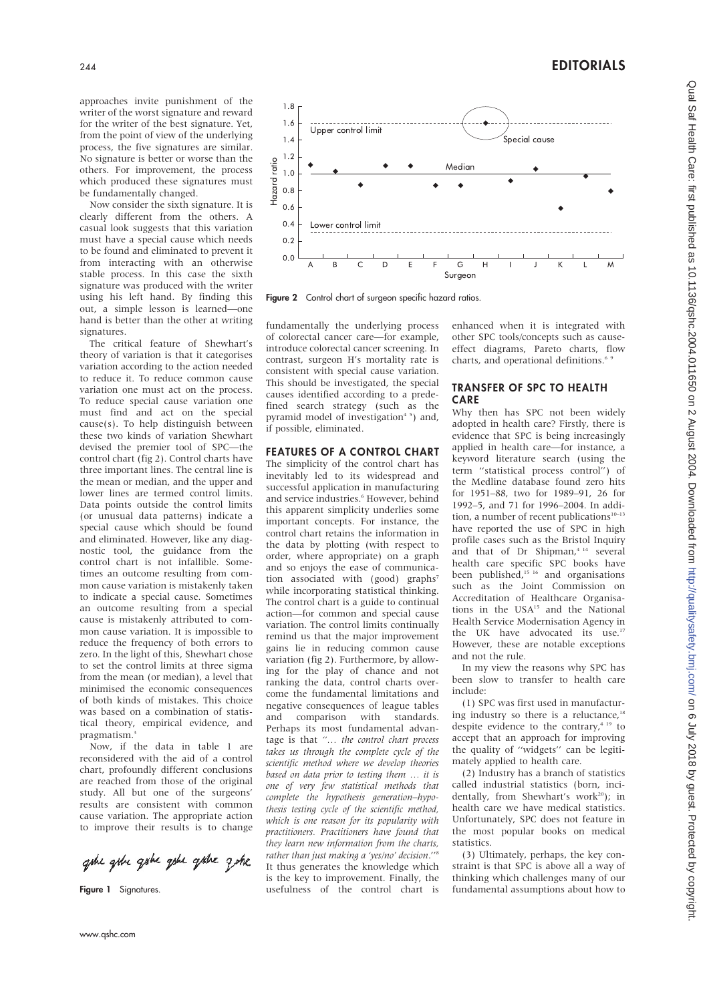approaches invite punishment of the writer of the worst signature and reward for the writer of the best signature. Yet, from the point of view of the underlying process, the five signatures are similar. No signature is better or worse than the others. For improvement, the process which produced these signatures must be fundamentally changed.

Now consider the sixth signature. It is clearly different from the others. A casual look suggests that this variation must have a special cause which needs to be found and eliminated to prevent it from interacting with an otherwise stable process. In this case the sixth signature was produced with the writer using his left hand. By finding this out, a simple lesson is learned—one hand is better than the other at writing signatures.

The critical feature of Shewhart's theory of variation is that it categorises variation according to the action needed to reduce it. To reduce common cause variation one must act on the process. To reduce special cause variation one must find and act on the special cause(s). To help distinguish between these two kinds of variation Shewhart devised the premier tool of SPC—the control chart (fig 2). Control charts have three important lines. The central line is the mean or median, and the upper and lower lines are termed control limits. Data points outside the control limits (or unusual data patterns) indicate a special cause which should be found and eliminated. However, like any diagnostic tool, the guidance from the control chart is not infallible. Sometimes an outcome resulting from common cause variation is mistakenly taken to indicate a special cause. Sometimes an outcome resulting from a special cause is mistakenly attributed to common cause variation. It is impossible to reduce the frequency of both errors to zero. In the light of this, Shewhart chose to set the control limits at three sigma from the mean (or median), a level that minimised the economic consequences of both kinds of mistakes. This choice was based on a combination of statistical theory, empirical evidence, and pragmatism.<sup>3</sup>

Now, if the data in table 1 are reconsidered with the aid of a control chart, profoundly different conclusions are reached from those of the original study. All but one of the surgeons' results are consistent with common cause variation. The appropriate action to improve their results is to change

gobe goine goine goine goine gene

Figure 1 Signatures.



Figure 2 Control chart of surgeon specific hazard ratios.

fundamentally the underlying process of colorectal cancer care—for example, introduce colorectal cancer screening. In contrast, surgeon H's mortality rate is consistent with special cause variation. This should be investigated, the special causes identified according to a predefined search strategy (such as the pyramid model of investigation $45$ ) and, if possible, eliminated.

#### FEATURES OF A CONTROL CHART

The simplicity of the control chart has inevitably led to its widespread and successful application in manufacturing and service industries.<sup>6</sup> However, behind this apparent simplicity underlies some important concepts. For instance, the control chart retains the information in the data by plotting (with respect to order, where appropriate) on a graph and so enjoys the ease of communication associated with (good) graphs<sup>7</sup> while incorporating statistical thinking. The control chart is a guide to continual action—for common and special cause variation. The control limits continually remind us that the major improvement gains lie in reducing common cause variation (fig 2). Furthermore, by allowing for the play of chance and not ranking the data, control charts overcome the fundamental limitations and negative consequences of league tables and comparison with standards. Perhaps its most fundamental advantage is that "... the control chart process takes us through the complete cycle of the scientific method where we develop theories based on data prior to testing them … it is one of very few statistical methods that complete the hypothesis generation–hypothesis testing cycle of the scientific method, which is one reason for its popularity with practitioners. Practitioners have found that they learn new information from the charts, rather than just making a 'yes/no' decision."<sup>8</sup> It thus generates the knowledge which is the key to improvement. Finally, the usefulness of the control chart is enhanced when it is integrated with other SPC tools/concepts such as causeeffect diagrams, Pareto charts, flow charts, and operational definitions.<sup>6</sup>

### TRANSFER OF SPC TO HEALTH CARE

Why then has SPC not been widely adopted in health care? Firstly, there is evidence that SPC is being increasingly applied in health care—for instance, a keyword literature search (using the term ''statistical process control'') of the Medline database found zero hits for 1951–88, two for 1989–91, 26 for 1992–5, and 71 for 1996–2004. In addition, a number of recent publications $10-13$ have reported the use of SPC in high profile cases such as the Bristol Inquiry and that of Dr Shipman,<sup>4 14</sup> several health care specific SPC books have been published, $15/16$  and organisations such as the Joint Commission on Accreditation of Healthcare Organisations in the USA<sup>15</sup> and the National Health Service Modernisation Agency in the UK have advocated its use.<sup>17</sup> However, these are notable exceptions and not the rule.

In my view the reasons why SPC has been slow to transfer to health care include:

(1) SPC was first used in manufacturing industry so there is a reluctance, $18$ despite evidence to the contrary,<sup>4 19</sup> to accept that an approach for improving the quality of ''widgets'' can be legitimately applied to health care.

(2) Industry has a branch of statistics called industrial statistics (born, incidentally, from Shewhart's work<sup>20</sup>): in health care we have medical statistics. Unfortunately, SPC does not feature in the most popular books on medical statistics.

(3) Ultimately, perhaps, the key constraint is that SPC is above all a way of thinking which challenges many of our fundamental assumptions about how to